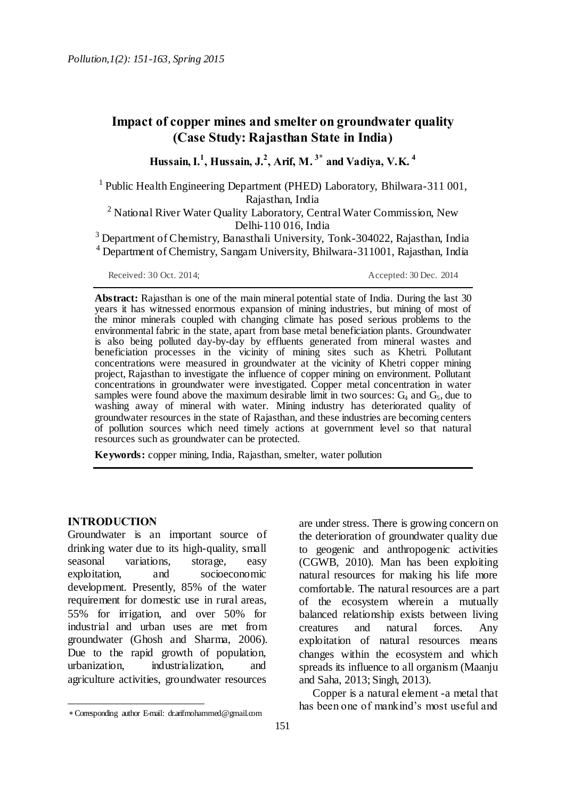# **Impact of copper mines and smelter on groundwater quality (Case Study: Rajasthan State in India)**

**Hussain,I. 1 , Hussain, J. 2 , Arif, M. 3\* and Vadiya, V.K. 4**

<sup>1</sup> Public Health Engineering Department (PHED) Laboratory, Bhilwara-311 001, Rajasthan, India

<sup>2</sup> National River Water Ouality Laboratory, Central Water Commission, New Delhi-110 016, India

<sup>3</sup> Department of Chemistry, Banasthali University, Tonk-304022, Rajasthan, India <sup>4</sup> Department of Chemistry, Sangam University, Bhilwara-311001, Rajasthan, India

Received: 30 Oct. 2014; Accepted: 30 Dec. 2014

**Abstract:** Rajasthan is one of the main mineral potential state of India. During the last 30 years it has witnessed enormous expansion of mining industries, but mining of most of the minor minerals coupled with changing climate has posed serious problems to the environmental fabric in the state, apart from base metal beneficiation plants. Groundwater is also being polluted day-by-day by effluents generated from mineral wastes and beneficiation processes in the vicinity of mining sites such as Khetri. Pollutant concentrations were measured in groundwater at the vicinity of Khetri copper mining project, Rajasthan to investigate the influence of copper mining on environment. Pollutant concentrations in groundwater were investigated. Copper metal concentration in water samples were found above the maximum desirable limit in two sources:  $G_4$  and  $G_5$ , due to washing away of mineral with water. Mining industry has deteriorated quality of groundwater resources in the state of Rajasthan, and these industries are becoming centers of pollution sources which need timely actions at government level so that natural resources such as groundwater can be protected.

**Keywords:** copper mining, India, Rajasthan, smelter, water pollution

#### **INTRODUCTION**

 $\overline{a}$ 

Groundwater is an important source of drinking water due to its high-quality, small seasonal variations, storage, easy exploitation, and socioeconomic development. Presently, 85% of the water requirement for domestic use in rural areas, 55% for irrigation, and over 50% for industrial and urban uses are met from groundwater (Ghosh and Sharma, 2006). Due to the rapid growth of population, urbanization, industrialization, and agriculture activities, groundwater resources

are under stress. There is growing concern on the deterioration of groundwater quality due to geogenic and anthropogenic activities (CGWB, 2010). Man has been exploiting natural resources for making his life more comfortable. The natural resources are a part of the ecosystem wherein a mutually balanced relationship exists between living creatures and natural forces. Any exploitation of natural resources means changes within the ecosystem and which spreads its influence to all organism (Maanju and Saha, 2013; Singh, 2013).

Copper is a natural element -a metal that has been one of mankind's most useful and

Corresponding author E-mail: dr.arifmohammed@gmail.com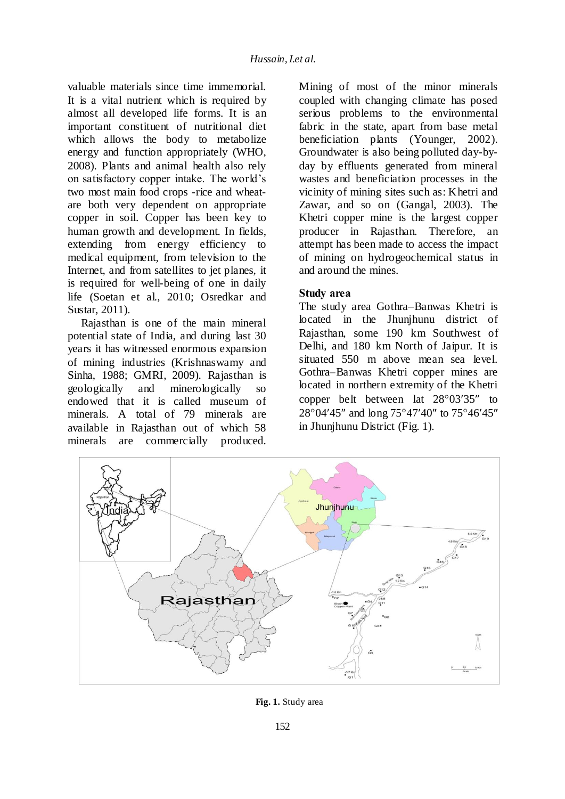valuable materials since time immemorial. It is a vital nutrient which is required by almost all developed life forms. It is an important constituent of nutritional diet which allows the body to metabolize energy and function appropriately (WHO, 2008). Plants and animal health also rely on satisfactory copper intake. The world's two most main food crops -rice and wheatare both very dependent on appropriate copper in soil. Copper has been key to human growth and development. In fields, extending from energy efficiency to medical equipment, from television to the Internet, and from satellites to jet planes, it is required for well-being of one in daily life (Soetan et al., 2010; Osredkar and Sustar, 2011).

Rajasthan is one of the main mineral potential state of India, and during last 30 years it has witnessed enormous expansion of mining industries (Krishnaswamy and Sinha, 1988; GMRI, 2009). Rajasthan is geologically and minerologically so endowed that it is called museum of minerals. A total of 79 minerals are available in Rajasthan out of which 58 minerals are commercially produced.

Mining of most of the minor minerals coupled with changing climate has posed serious problems to the environmental fabric in the state, apart from base metal beneficiation plants (Younger, 2002). Groundwater is also being polluted day-byday by effluents generated from mineral wastes and beneficiation processes in the vicinity of mining sites such as: Khetri and Zawar, and so on (Gangal, 2003). The Khetri copper mine is the largest copper producer in Rajasthan. Therefore, an attempt has been made to access the impact of mining on hydrogeochemical status in and around the mines.

### **Study area**

The study area Gothra–Banwas Khetri is located in the Jhunjhunu district of Rajasthan, some 190 km Southwest of Delhi, and 180 km North of Jaipur. It is situated 550 m above mean sea level. Gothra–Banwas Khetri copper mines are located in northern extremity of the Khetri copper belt between lat  $28^{\circ}03'35''$  to 28°04'45" and long 75°47'40" to 75°46'45" in Jhunjhunu District (Fig. 1).



**Fig. 1.** Study area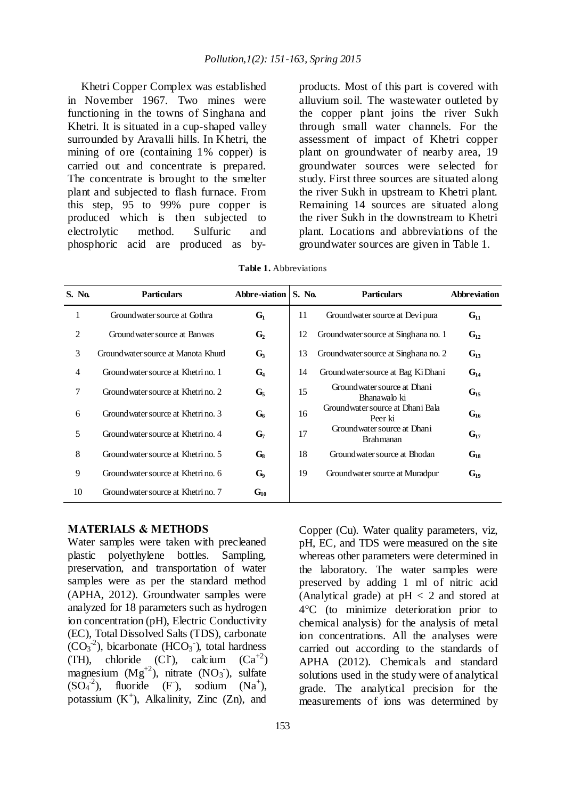Khetri Copper Complex was established in November 1967. Two mines were functioning in the towns of Singhana and Khetri. It is situated in a cup-shaped valley surrounded by Aravalli hills. In Khetri, the mining of ore (containing 1% copper) is carried out and concentrate is prepared. The concentrate is brought to the smelter plant and subjected to flash furnace. From this step, 95 to 99% pure copper is produced which is then subjected to electrolytic method. Sulfuric and phosphoric acid are produced as byproducts. Most of this part is covered with alluvium soil. The wastewater outleted by the copper plant joins the river Sukh through small water channels. For the assessment of impact of Khetri copper plant on groundwater of nearby area, 19 groundwater sources were selected for study. First three sources are situated along the river Sukh in upstream to Khetri plant. Remaining 14 sources are situated along the river Sukh in the downstream to Khetri plant. Locations and abbreviations of the groundwater sources are given in Table 1.

| S. No. | <b>Particulars</b>                  | Abbre-viation  | S. No. | <b>Particulars</b>                               | Abbreviation |
|--------|-------------------------------------|----------------|--------|--------------------------------------------------|--------------|
| 1      | Ground water source at Gothra       | $G_1$          | 11     | Ground water source at Devi pura                 | $G_{11}$     |
| 2      | Ground water source at Ban was      | G <sub>2</sub> | 12     | Ground water source at Singhana no. 1            | $G_{12}$     |
| 3      | Groundwater source at Manota Khurd  | $G_3$          | 13     | Ground water source at Singhana no. 2            | $G_{13}$     |
| 4      | Ground water source at Khetri no. 1 | $G_4$          | 14     | Ground water source at Bag Ki Dhani              | $G_{14}$     |
| 7      | Ground water source at Khetri no. 2 | G <sub>5</sub> | 15     | Ground water source at Dhani<br>Bhanawalo ki     | $G_{15}$     |
| 6      | Ground water source at Khetri no. 3 | $G_6$          | 16     | Ground water source at Dhani Bala<br>Peer ki     | $G_{16}$     |
| 5      | Ground water source at Khetri no. 4 | G <sub>7</sub> | 17     | Ground water source at Dhani<br><b>Brahmanan</b> | $G_{17}$     |
| 8      | Ground water source at Khetri no. 5 | $G_8$          | 18     | Ground water source at Bhodan                    | $G_{18}$     |
| 9      | Ground water source at Khetri no. 6 | $G_9$          | 19     | Ground water source at Muradpur                  | $G_{19}$     |
| 10     | Ground water source at Khetri no. 7 | $G_{10}$       |        |                                                  |              |

**Table 1.** Abbreviations

#### **MATERIALS & METHODS**

Water samples were taken with precleaned plastic polyethylene bottles. Sampling, preservation, and transportation of water samples were as per the standard method (APHA, 2012). Groundwater samples were analyzed for 18 parameters such as hydrogen ion concentration (pH), Electric Conductivity (EC), Total Dissolved Salts (TDS), carbonate  $(CO<sub>3</sub><sup>-2</sup>)$ , bicarbonate (HCO<sub>3</sub><sup>-</sup>), total hardness (TH), chloride (CI), calcium  $(Ca^{+2})$ magnesium  $(Mg^{+2})$ , nitrate  $(NO_3)$ , sulfate  $(SO<sub>4</sub><sup>-2</sup>)$ , fluoride (F), sodium (Na<sup>+</sup>), potassium  $(K^+)$ , Alkalinity, Zinc  $(Zn)$ , and

Copper (Cu). Water quality parameters, viz, pH, EC, and TDS were measured on the site whereas other parameters were determined in the laboratory. The water samples were preserved by adding 1 ml of nitric acid (Analytical grade) at  $pH < 2$  and stored at 4C (to minimize deterioration prior to chemical analysis) for the analysis of metal ion concentrations. All the analyses were carried out according to the standards of APHA (2012). Chemicals and standard solutions used in the study were of analytical grade. The analytical precision for the measurements of ions was determined by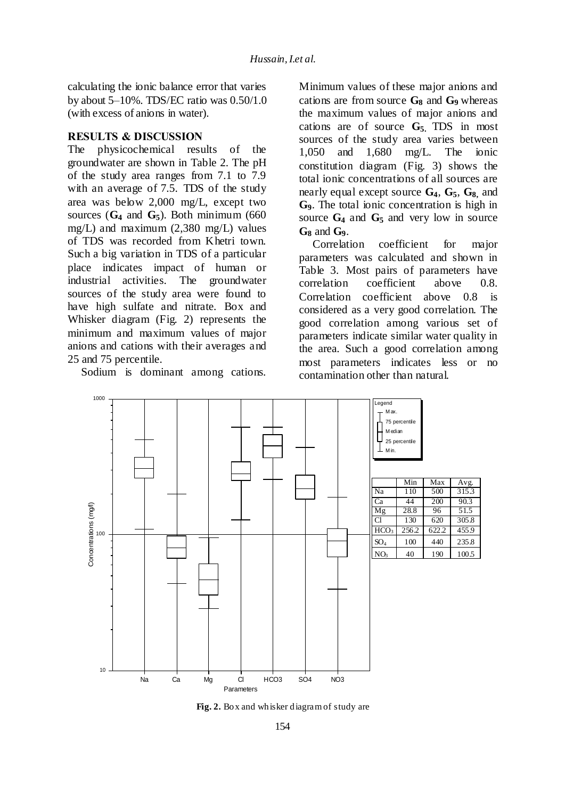calculating the ionic balance error that varies by about 5–10%. TDS/EC ratio was 0.50/1.0 (with excess of anions in water).

### **RESULTS & DISCUSSION**

The physicochemical results of the groundwater are shown in Table 2. The pH of the study area ranges from 7.1 to 7.9 with an average of 7.5. TDS of the study area was below 2,000 mg/L, except two sources  $(G_4 \text{ and } G_5)$ . Both minimum (660) mg/L) and maximum (2,380 mg/L) values of TDS was recorded from Khetri town. Such a big variation in TDS of a particular place indicates impact of human or industrial activities. The groundwater sources of the study area were found to have high sulfate and nitrate. Box and Whisker diagram (Fig. 2) represents the minimum and maximum values of major anions and cations with their averages and 25 and 75 percentile.

Sodium is dominant among cations.

Minimum values of these major anions and cations are from source **G<sup>8</sup>** and **G9** whereas the maximum values of major anions and cations are of source **G5.** TDS in most sources of the study area varies between 1,050 and 1,680 mg/L. The ionic constitution diagram (Fig. 3) shows the total ionic concentrations of all sources are nearly equal except source **G4**, **G5**, **G8,** and **G9**. The total ionic concentration is high in source **G<sup>4</sup>** and **G<sup>5</sup>** and very low in source

**G<sup>8</sup>** and **G9**. coefficient for major parameters was calculated and shown in Table 3. Most pairs of parameters have correlation coefficient above 0.8. Correlation coefficient above 0.8 is considered as a very good correlation. The good correlation among various set of parameters indicate similar water quality in the area. Such a good correlation among most parameters indicates less or no contamination other than natural.



**Fig. 2.** Box and whisker diagram of study are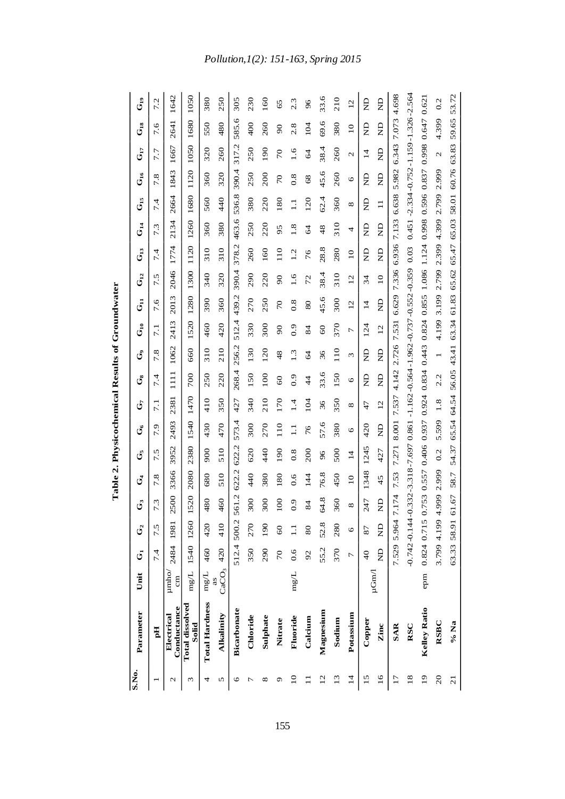| S.No.           |                                 |                            |                |                   |                         |                           |                  |         |              |                                                                                                  |                 |                 |                           |                   |                   |                  |                                                 |                   |                   |                 |                   |
|-----------------|---------------------------------|----------------------------|----------------|-------------------|-------------------------|---------------------------|------------------|---------|--------------|--------------------------------------------------------------------------------------------------|-----------------|-----------------|---------------------------|-------------------|-------------------|------------------|-------------------------------------------------|-------------------|-------------------|-----------------|-------------------|
|                 | Parameter                       | Unit                       | تی             | G <sub>2</sub>    | $\mathring{\mathbf{G}}$ | $\mathbf{C}^{\mathbf{d}}$ | ئ                | ರೆ      | تل           | ق                                                                                                | $\mathcal{G}$   | $\mathbb{G}_1$  | $\mathbf{G}_{\mathrm{H}}$ | $\mathbb{G}_{12}$ | $\mathbf{G}_{13}$ | $G_{14}$         | $G_{15}$                                        | $\mathbf{G}_{16}$ | $\mathbf{G}_{17}$ | $G_{\rm 18}$    | $\mathbb{G}_{19}$ |
|                 | 핌                               |                            | 7.4            | 7.5               | 7.3                     | 7.8                       | N,<br>1          | بن<br>1 | 7.1          | 7.4                                                                                              | 7.8             | 7.1             | 7.6                       | N.<br>ド           | 7.4               | 7.3              | 7.4                                             | 7.8               | 7.7               | 7.6             | 7.2               |
| $\mathcal{L}$   | Conductance<br>Electrical       | $\mu$ mho/<br>$\epsilon$ m |                | 2484 1981         | 2500                    | 3366                      | 3952             | 2493    | 2381         | $\overline{111}$                                                                                 | 1062            | 2413            | 2013                      | 2046              | 1774              | 2134             | 2664                                            | 1843              | 1667              | 2641            | 1642              |
| Σ               | <b>Total dissolved</b><br>Solid | mg/L                       |                | 1540 1260         | 520                     | 2080                      | 2380             | 1540    | 1470         | 700                                                                                              | 660             | 1520            | 1280                      | 1300              | 1120              | 1260             | 1680                                            | 1120              | 1050              | 1680            | 1050              |
| 4               | <b>Total Hardness</b>           | $mg/L$                     | 460            | 420               | 480                     | 680                       | 900              | 430     | 410          | 250                                                                                              | 310             | 460             | 390                       | 340               | 310               | 360              | 560                                             | 360               | 320               | 550             | 380               |
| 5               | Alkalinity                      | CaCO <sub>3</sub>          | 420            | 410               | 460                     | 510                       | 510              | 470     | 350          | 220                                                                                              | 210             | 420             | 360                       | 320               | 310               | 380              | 440                                             | 320               | 260               | 480             | 250               |
| ७               | Bicarbonate                     |                            |                | 512.4 500.2       | 561.2                   | 622.2                     | 622.2            | 573.4   | 427          | 268.4                                                                                            | 256.2           | 512.4           | 439.2                     | 390.4             | 378.2             | 463.6            | 536.8                                           | 390.4             | 317.2             | 585.6           | 305               |
|                 | Chloride                        |                            | 350            | 270               | 300                     | 440                       | 620              | 300     | 340          | 150                                                                                              | 130             | 330             | 270                       | 290               | 260               | 250              | 380                                             | 250               | 250               | 400             | 230               |
| ∞               | Sulphate                        |                            | 290            | 190               | 300                     | 380                       | 440              | 270     | 210          | 100                                                                                              | 120             | 300             | 250                       | 220               | 160               | 220              | 220                                             | 200               | 190               | 260             | 160               |
| ᡋ               | Nitrate                         |                            | 70             | $\boldsymbol{60}$ | $\overline{100}$        | 180                       | 190              | 110     | 170          | $\overline{60}$                                                                                  | 48              | $\overline{6}$  | 70                        | $\frac{1}{2}$     | $\frac{10}{10}$   | 95               | 180                                             | 70                | 70                | $\frac{1}{2}$   | 65                |
| $\overline{10}$ | Fluoride                        | $\rm mg/L$                 | 0.6            | $\Xi$             | 0.9                     | 0.6                       | $\overline{0.8}$ | $\Xi$   | 4.           | $\ddot{0}$                                                                                       | $\overline{13}$ | $\ddot{0}$      | $\frac{8}{2}$             | $\frac{6}{1}$     | Ċ                 | $\overline{1.8}$ | $\Xi$                                           | $\frac{8}{2}$     | $\frac{6}{1}$     | 2.8             | 2.3               |
|                 | Calcium                         |                            | 92             | 80                | $\overline{84}$         | $\frac{44}{3}$            | 200              | 76      | 104          | $\frac{4}{4}$                                                                                    | $\overline{6}$  | 84              | 80                        | 72                | 76                | $\overline{6}$   | 120                                             | 68                | $\overline{6}$    | 104             | $\frac{6}{2}$     |
| $\overline{12}$ | Magnesium                       |                            | 55.2           | 52.8              | 64.8                    | 76.8                      | 96               | 57.6    | 36           | 33.6                                                                                             | 36              | $\overline{60}$ | 45.6                      | 38.4              | 28.8              | 48               | 62.4                                            | 45.6              | 38.4              | 69.6            | 33.6              |
| 13              | Sodium                          |                            | 370            | 280               | 360                     | 450                       | 500              | 380     | 350          | 150                                                                                              | 110             | 370             | 300                       | 310               | 280               | 310              | 360                                             | 260               | 260               | 380             | 210               |
| $\overline{1}$  | Potassium                       |                            | $\overline{C}$ | 6                 | ${}^{\circ}$            | $\overline{10}$           | $\overline{1}$   | $\circ$ | ${}^{\circ}$ | $\circ$                                                                                          | 3               | 7               | 12                        | 12                | $\overline{10}$   | 4                | ${}^{\circ}$                                    | $\circ$           | $\mathcal{L}$     | $\overline{10}$ | 12                |
| 15              | Copper                          | $\mu$ Gm $\Lambda$         | $\frac{1}{4}$  | 87                | 247                     | 1348                      | 1245             | 420     | 47           | g                                                                                                | $\Xi$           | 124             | $\overline{1}$            | 34                | $\Xi$             | $\Xi$            | g                                               | g                 | $\overline{1}$    | g               | g                 |
| $\overline{16}$ | Zinc                            |                            | $\frac{1}{2}$  | $\frac{1}{2}$     | $\Xi$                   | 45                        | 427              | $\Xi$   | 12           | $\frac{1}{2}$                                                                                    | $\Xi$           | $\overline{12}$ | $\beta$                   | $\overline{10}$   | $\Xi$             | $\frac{1}{2}$    | $\Box$                                          | $\frac{D}{Z}$     | $\frac{D}{Z}$     | $\frac{1}{2}$   | $\frac{1}{2}$     |
| 17              | <b>SAR</b>                      |                            |                | 7.529 5.964       | 7.174                   | 7.53                      | 7.271            | 8.001   | 7.537        | 4.142                                                                                            |                 | 2.726 7.531     |                           | 6.629 7.336 6.936 |                   | 7.133            | 6.638                                           | 5.982             | 6.343             | 7.073           | 4.698             |
| 18              | RSC                             |                            |                |                   |                         |                           |                  |         |              | $-0.742 - 0.144 - 0.332 - 3.318 - 7.697$ $0.861 - 1.162 - 0.564 - 1.962 - 0.737 - 0.552 - 0.359$ |                 |                 |                           |                   | 0.03              |                  | $0.451 - 2.334 - 0.752 - 1.159 - 1.326 - 2.564$ |                   |                   |                 |                   |
| $\overline{19}$ | <b>Kelley Ratio</b>             | epm                        |                | 0.824 0.715       |                         |                           |                  |         |              | 0.757 0.557 0.406 0.937 0.834 0.443 0.824 0.855 1.086 1.124                                      |                 |                 |                           |                   |                   | 0.998            |                                                 | 0.596 0.837 0.998 |                   | 0.647           | 0.621             |
| $\overline{c}$  | <b>RSBC</b>                     |                            |                | 3.799 4.199       | 4.999                   | 2.999                     | 0.2              | 5.599   | 1.8          | 2.2                                                                                              | $\overline{a}$  | 4.199           | 3.199                     | 2.799             | 2.399             | 4.399            | 2.799                                           | 2.999             | $\mathcal{L}$     | 4.399           | 0.2               |
| $\overline{c}$  | % Na                            |                            |                | 63.33 58.91       | 61.67                   | 58.7                      | 54.37            | 65.54   | 64.54        | 56.05                                                                                            | 43.41           | 63.34           | 61.83                     | 65.62             | 65.47             | 65.03            | 58.01                                           | 60.76             | 63.83             | 59.65           | 53.72             |

Table 2. Physicochemical Results of Groundwater **Table 2. Physicochemical Results of Groundwater** 

# *Pollution,1(2): 151-163, Spring 2015*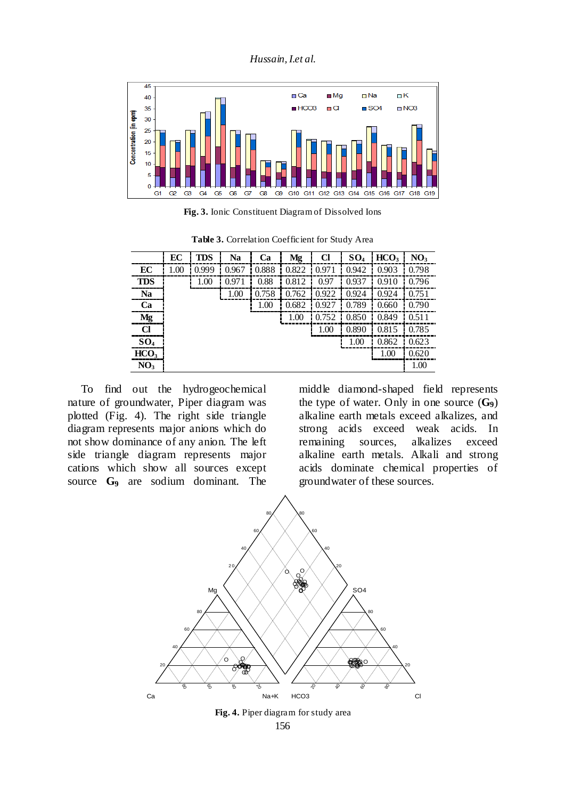*Hussain,I.et al.*



**Fig. 3.** Ionic Constituent Diagram of Dissolved Ions

**Table 3.** Correlation Coefficient for Study Area

|                  | EC | <b>TDS</b> | <b>Na</b> | <b>Ca</b>     | Mg          | Cl     | $SO_4$ | HCO <sub>3</sub> | NO <sub>3</sub> |
|------------------|----|------------|-----------|---------------|-------------|--------|--------|------------------|-----------------|
| EC               |    | 0.999      |           | $0.967$ 0.888 | 0.822 0.971 |        | 0.942  | 0.903            | 0.798           |
| <b>TDS</b>       |    | 1.00       | 0.971     | 0.88          | 0.812       | 0.97   | 0.937  | 0.910            | 0.796           |
| <b>Na</b>        |    |            | 1.00      | 0.758         | 0.762       | 0.922  | 0.924  | 0.924            | 0.751           |
| Ca               |    |            |           | 1.00          | 0.682       | 0.927  | 0.789  | 0.660            | 0.790           |
| Mg               |    |            |           |               | 1.00        | 10.752 | 0.850  | 0.849            | 0.511           |
| Cl               |    |            |           |               |             | 1.00   | 0.890  | 0.815            | 0.785           |
| SO <sub>4</sub>  |    |            |           |               |             |        | 1.00   | 0.862            | 0.623           |
| HCO <sub>3</sub> |    |            |           |               |             |        |        | 1.00             | 0.620           |
| NO <sub>3</sub>  |    |            |           |               |             |        |        |                  | 1.00            |

To find out the hydrogeochemical nature of groundwater, Piper diagram was plotted (Fig. 4). The right side triangle diagram represents major anions which do not show dominance of any anion. The left side triangle diagram represents major cations which show all sources except source **G**<sup>9</sup> are sodium dominant. The middle diamond-shaped field represents the type of water. Only in one source (**G9**) alkaline earth metals exceed alkalizes, and strong acids exceed weak acids. In remaining sources, alkalizes exceed alkaline earth metals. Alkali and strong acids dominate chemical properties of groundwater of these sources.



156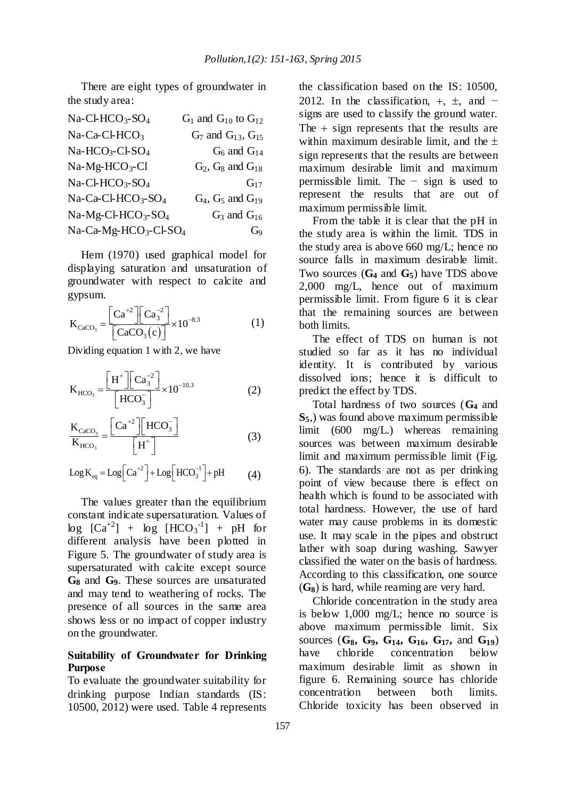There are eight types of groundwater in the study area:

| Na-Cl-HCO <sub>3</sub> -SO <sub>4</sub>       | $G_1$ and $G_{10}$ to $G_{12}$ |
|-----------------------------------------------|--------------------------------|
| $Na-Ca-CLHCO3$                                | $G_7$ and $G_{13}$ , $G_{15}$  |
| Na-HCO <sub>3</sub> -Cl-SO <sub>4</sub>       | $G_6$ and $G_{14}$             |
| $Na-Mg-HCO3-Cl$                               | $G_2$ , $G_8$ and $G_{18}$     |
| $Na-Cl-HCO3-SO4$                              | $G_{17}$                       |
| $Na-Ca-Cl-HCO3-SO4$                           | $G_4$ , $G_5$ and $G_{19}$     |
| Na-Mg-Cl-HCO <sub>3</sub> -SO <sub>4</sub>    | $G_3$ and $G_{16}$             |
| Na-Ca-Mg-HCO <sub>3</sub> -Cl-SO <sub>4</sub> | G <sub>9</sub>                 |

Hem (1970) used graphical model for displaying saturation and unsaturation of groundwater with respect to calcite and gypsum.

$$
K_{CaCO_3} = \frac{\left[Ca^{+2}\right]\left[Ca_3^{-2}\right]}{\left[CaCO_3(c)\right]} \times 10^{-8.3}
$$
 (1)

Dividing equation 1 with 2, we have

$$
K_{HCO_3} = \frac{\left[H^+\right]\left[Ca_3^{-2}\right]}{\left[HCO_3^{-}\right]} \times 10^{-10.3}
$$
 (2)

$$
\frac{K_{\text{CaCO}_3}}{K_{\text{HCO}_3}} = \frac{\left[Ca^{+2}\right]\left[HCO_3^-\right]}{\left[H^+\right]}
$$
(3)

$$
Log K_{eq} = Log \left[ Ca^{+2} \right] + Log \left[ HCO_3^{-1} \right] + pH \tag{4}
$$

The values greater than the equilibrium constant indicate supersaturation. Values of  $log [Ca^{+2}] + log [HCO<sub>3</sub><sup>-1</sup>] + pH for$ different analysis have been plotted in Figure 5. The groundwater of study area is supersaturated with calcite except source **G<sup>8</sup>** and **G9**. These sources are unsaturated and may tend to weathering of rocks. The presence of all sources in the same area shows less or no impact of copper industry on the groundwater.

## **Suitability of Groundwater for Drinking Purpose**

To evaluate the groundwater suitability for drinking purpose Indian standards (IS: 10500, 2012) were used. Table 4 represents the classification based on the IS: 10500, 2012. In the classification,  $+$ ,  $\pm$ , and  $$ signs are used to classify the ground water. The  $+$  sign represents that the results are within maximum desirable limit, and the  $\pm$ sign represents that the results are between maximum desirable limit and maximum permissible limit. The − sign is used to represent the results that are out of maximum permissible limit.

From the table it is clear that the pH in the study area is within the limit. TDS in the study area is above 660 mg/L; hence no source falls in maximum desirable limit. Two sources (**G<sup>4</sup>** and **G5**) have TDS above 2,000 mg/L, hence out of maximum permissible limit. From figure 6 it is clear that the remaining sources are between both limits.

The effect of TDS on human is not studied so far as it has no individual identity. It is contributed by various dissolved ions; hence it is difficult to predict the effect by TDS.

Total hardness of two sources (**G4** and **S5**,) was found above maximum permissible limit (600 mg/L.) whereas remaining sources was between maximum desirable limit and maximum permissible limit (Fig. 6). The standards are not as per drinking point of view because there is effect on health which is found to be associated with total hardness. However, the use of hard water may cause problems in its domestic use. It may scale in the pipes and obstruct lather with soap during washing. Sawyer classified the water on the basis of hardness. According to this classification, one source (**G8**) is hard, while reaming are very hard.

Chloride concentration in the study area is below 1,000 mg/L; hence no source is above maximum permissible limit. Six sources (**G8, G9, G14, G16, G17,** and **G19**) have chloride concentration below maximum desirable limit as shown in figure 6. Remaining source has chloride concentration between both limits. Chloride toxicity has been observed in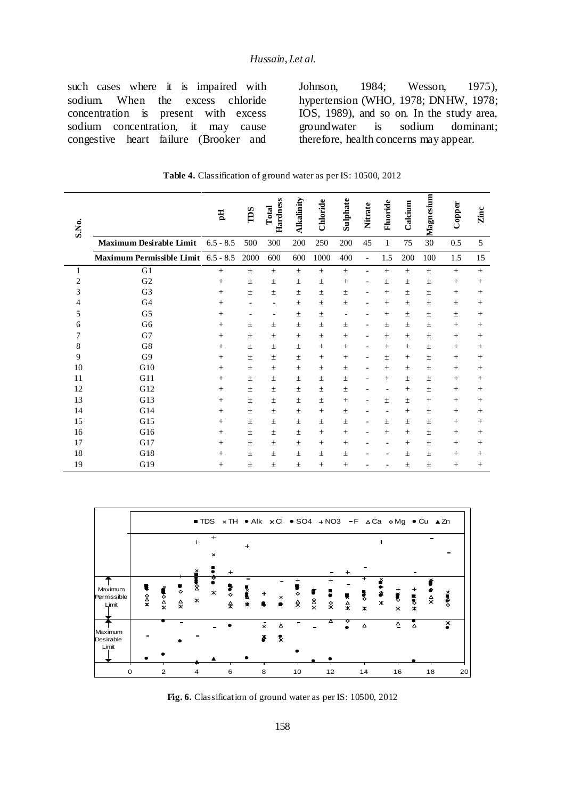such cases where it is impaired with sodium. When the excess chloride concentration is present with excess sodium concentration, it may cause congestive heart failure (Brooker and Johnson, 1984; Wesson, 1975), hypertension (WHO, 1978; DNHW, 1978; IOS, 1989), and so on. In the study area, groundwater is sodium dominant; therefore, health concerns may appear.

| S.No.          |                                     | 핌           | TDS   | Hardness<br>Total | Alkalinity | Chloride | Sulphate                 | Nitrate                  | Fluoride | Calcium | Magnesium | Copper | Zinc   |
|----------------|-------------------------------------|-------------|-------|-------------------|------------|----------|--------------------------|--------------------------|----------|---------|-----------|--------|--------|
|                | <b>Maximum Desirable Limit</b>      | $6.5 - 8.5$ | 500   | 300               | 200        | 250      | 200                      | 45                       | 1        | 75      | 30        | 0.5    | 5      |
|                | Maximum Permissible Limit 6.5 - 8.5 |             | 2000  | 600               | 600        | 1000     | 400                      | $\overline{\phantom{a}}$ | 1.5      | 200     | 100       | 1.5    | 15     |
| 1              | G1                                  | $^{+}$      | 士     | $\pm$             | $\pm$      | 土        | 土                        | $\overline{\phantom{0}}$ | $+$      | $\pm$   | $\pm$     | $+$    | $+$    |
| $\overline{c}$ | G <sub>2</sub>                      | $^{+}$      | 士     | $\pm$             | 士          | 土        | $^{+}$                   |                          | 士        | $\pm$   | $\pm$     | $+$    | $^{+}$ |
| 3              | G <sub>3</sub>                      | $^{+}$      | $\pm$ | $\pm$             | 士          | 士        | 土                        |                          | $^{+}$   | $\pm$   | 士         | $^{+}$ | $^{+}$ |
| 4              | G <sub>4</sub>                      | $^{+}$      |       |                   | 士          | 士        | 士                        |                          | $^{+}$   | $\pm$   | $\pm$     | 士      | $^{+}$ |
| 5              | G <sub>5</sub>                      | $^{+}$      |       |                   | 士          | 士        | $\overline{\phantom{a}}$ |                          | $^{+}$   | $\pm$   | $\pm$     | $\pm$  | $^{+}$ |
| 6              | G <sub>6</sub>                      | $^{+}$      | 士     | 士                 | 士          | 士        | 士                        |                          | 士        | $\pm$   | $\pm$     | $^{+}$ | $^{+}$ |
| 7              | G7                                  | $^{+}$      | $\pm$ | $\pm$             | $\pm$      | $\pm$    | $\pm$                    |                          | 士        | $\pm$   | $\pm$     | $+$    | $+$    |
| 8              | G8                                  | $^{+}$      | 士     | $\pm$             | $\pm$      | $^{+}$   | $^{+}$                   |                          | $^{+}$   | $+$     | $\pm$     | $+$    | $^{+}$ |
| 9              | G <sub>9</sub>                      | $^{+}$      | 士     | $\pm$             | 士          | $^{+}$   | $^{+}$                   |                          | 士        | $+$     | $\pm$     | $^{+}$ | $^{+}$ |
| 10             | G10                                 | $^{+}$      | $\pm$ | $\pm$             | 士          | 士        | 土                        |                          | $^{+}$   | $\pm$   | $\pm$     | $+$    | $^{+}$ |
| 11             | G11                                 | $^{+}$      | 士     | 土                 | 土          | 土        | 士                        |                          | $^{+}$   | $\pm$   | $\pm$     | $^{+}$ | $\pm$  |
| 12             | G12                                 | $^{+}$      | 士     | 士                 | 士          | 士        | 土                        |                          | ۰        | $+$     | $\pm$     | $^{+}$ | $^{+}$ |
| 13             | G13                                 | $^{+}$      | 士     | 士                 | 士          | 士        | $^{+}$                   |                          | 士        | $\pm$   | $^{+}$    | $^{+}$ | $^{+}$ |
| 14             | G14                                 | $^{+}$      | 土     | 士                 | 士          | $^{+}$   | 士                        |                          |          | $^{+}$  | $\pm$     | $+$    | $^{+}$ |
| 15             | G15                                 | $^{+}$      | 士     | 士                 | 士          | 士        | 土                        |                          | 士        | $\pm$   | $\pm$     | $^{+}$ | $^{+}$ |
| 16             | G16                                 | $^{+}$      | 士     | $\pm$             | 士          | $^{+}$   | $^{+}$                   |                          | $^{+}$   | $+$     | 士         | $^{+}$ | $^{+}$ |
| 17             | G17                                 | $^{+}$      | 士     | 士                 | 士          | $^+$     | $^{+}$                   |                          |          | $+$     | $\pm$     | $^{+}$ | $^{+}$ |
| 18             | G18                                 | $^{+}$      | 士     | 士                 | 士          | 士        | 士                        |                          |          | $\pm$   | $\pm$     | $^{+}$ | $\pm$  |
| 19             | G19                                 | $^{+}$      | 士     | $\pm$             | $\pm$      | $^{+}$   | $^{+}$                   |                          |          | $\pm$   | $\pm$     | $^{+}$ | $+$    |

**Table 4.** Classification of ground water as per IS: 10500, 2012



**Fig. 6.** Classification of ground water as per IS: 10500, 2012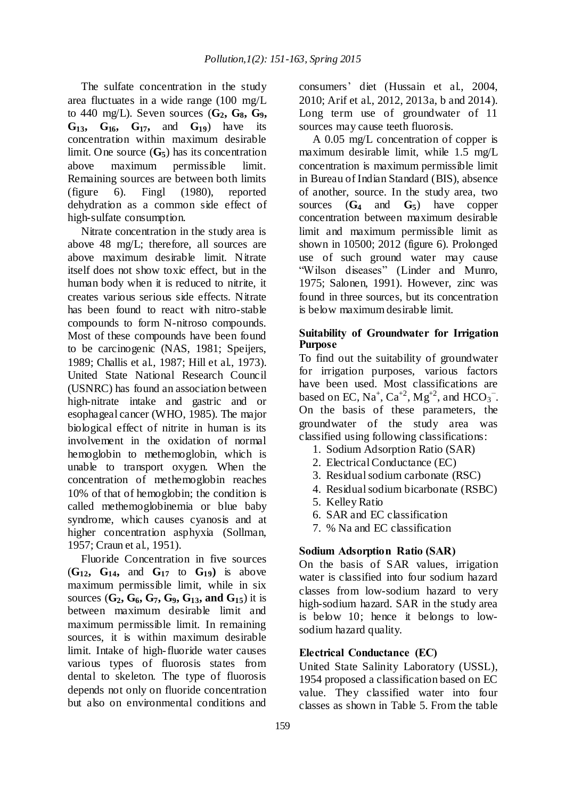The sulfate concentration in the study area fluctuates in a wide range (100 mg/L to 440 mg/L). Seven sources (**G2, G8, G9, G13, G16, G17,** and **G19**) have its concentration within maximum desirable limit. One source (**G5**) has its concentration above maximum permissible limit. Remaining sources are between both limits (figure 6). Fingl (1980), reported dehydration as a common side effect of high-sulfate consumption.

Nitrate concentration in the study area is above 48 mg/L; therefore, all sources are above maximum desirable limit. Nitrate itself does not show toxic effect, but in the human body when it is reduced to nitrite, it creates various serious side effects. Nitrate has been found to react with nitro-stable compounds to form N-nitroso compounds. Most of these compounds have been found to be carcinogenic (NAS, 1981; Speijers, 1989; Challis et al., 1987; Hill et al., 1973). United State National Research Council (USNRC) has found an association between high-nitrate intake and gastric and or esophageal cancer (WHO, 1985). The major biological effect of nitrite in human is its involvement in the oxidation of normal hemoglobin to methemoglobin, which is unable to transport oxygen. When the concentration of methemoglobin reaches 10% of that of hemoglobin; the condition is called methemoglobinemia or blue baby syndrome, which causes cyanosis and at higher concentration asphyxia (Sollman, 1957; Craun et al., 1951).

Fluoride Concentration in five sources (**G12, G14,** and **G<sup>17</sup>** to **G19)** is above maximum permissible limit, while in six sources ( $G_2$ ,  $G_6$ ,  $G_7$ ,  $G_9$ ,  $G_{13}$ , and  $G_{15}$ ) it is between maximum desirable limit and maximum permissible limit. In remaining sources, it is within maximum desirable limit. Intake of high-fluoride water causes various types of fluorosis states from dental to skeleton. The type of fluorosis depends not only on fluoride concentration but also on environmental conditions and consumers' diet (Hussain et al., 2004, 2010; Arif et al., 2012, 2013a, b and 2014). Long term use of groundwater of 11 sources may cause teeth fluorosis.

A 0.05 mg/L concentration of copper is maximum desirable limit, while 1.5 mg/L concentration is maximum permissible limit in Bureau of Indian Standard (BIS), absence of another, source. In the study area, two sources (**G<sup>4</sup>** and **G5**) have copper concentration between maximum desirable limit and maximum permissible limit as shown in 10500; 2012 (figure 6). Prolonged use of such ground water may cause "Wilson diseases" (Linder and Munro, 1975; Salonen, 1991). However, zinc was found in three sources, but its concentration is below maximum desirable limit.

# **Suitability of Groundwater for Irrigation Purpose**

To find out the suitability of groundwater for irrigation purposes, various factors have been used. Most classifications are based on EC,  $\text{Na}^+$ ,  $\text{Ca}^{+2}$ ,  $\text{Mg}^{+2}$ , and  $\text{HCO}_3^-$ . On the basis of these parameters, the groundwater of the study area was classified using following classifications:

- 1. Sodium Adsorption Ratio (SAR)
- 2. Electrical Conductance (EC)
- 3. Residual sodium carbonate (RSC)
- 4. Residual sodium bicarbonate (RSBC)
- 5. Kelley Ratio
- 6. SAR and EC classification
- 7. % Na and EC classification

# **Sodium Adsorption Ratio (SAR)**

On the basis of SAR values, irrigation water is classified into four sodium hazard classes from low-sodium hazard to very high-sodium hazard. SAR in the study area is below 10; hence it belongs to lowsodium hazard quality.

# **Electrical Conductance (EC)**

United State Salinity Laboratory (USSL), 1954 proposed a classification based on EC value. They classified water into four classes as shown in Table 5. From the table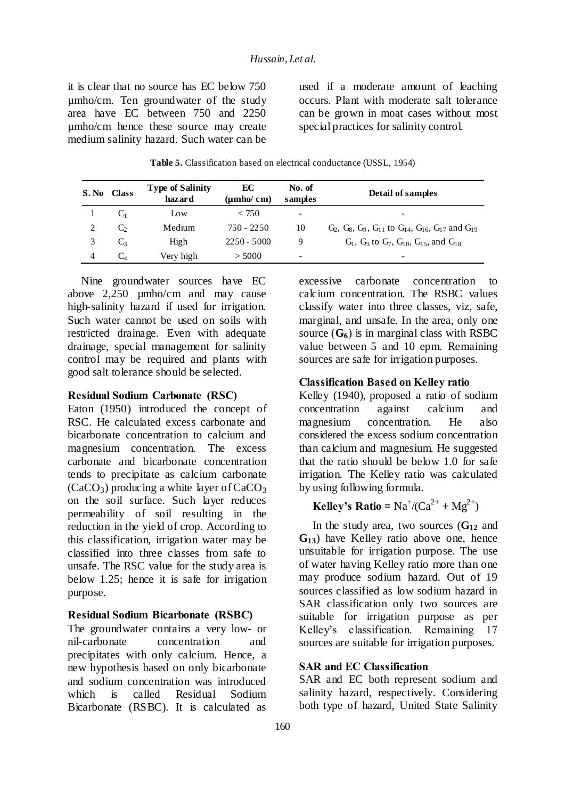it is clear that no source has EC below 750 µmho/cm. Ten groundwater of the study area have EC between 750 and 2250 µmho/cm hence these source may create medium salinity hazard. Such water can be used if a moderate amount of leaching occurs. Plant with moderate salt tolerance can be grown in moat cases without most special practices for salinity control.

| S. No | <b>Class</b>          | <b>Type of Salinity</b><br>hazard | EC<br>$(\mu mho/cm)$ | No. of<br>samples        | Detail of samples                                                |
|-------|-----------------------|-----------------------------------|----------------------|--------------------------|------------------------------------------------------------------|
|       | C <sub>1</sub>        | Low                               | < 750                | $\overline{\phantom{a}}$ |                                                                  |
|       | $\mathbf{C}^{\prime}$ | Medium                            | $750 - 2250$         | 10                       | $G_2, G_8, G_9, G_{11}$ to $G_{14}, G_{16}, G_{17}$ and $G_{19}$ |
|       | $C_3$                 | High                              | $2250 - 5000$        | 9                        | $G_1$ , $G_3$ to $G_7$ , $G_{10}$ , $G_{15}$ , and $G_{18}$      |
|       | C <sub>4</sub>        | Very high                         | > 5000               | -                        |                                                                  |

**Table 5.** Classification based on electrical conductance (USSL, 1954)

Nine groundwater sources have EC above 2,250 µmho/cm and may cause high-salinity hazard if used for irrigation. Such water cannot be used on soils with restricted drainage. Even with adequate drainage, special management for salinity control may be required and plants with good salt tolerance should be selected.

#### **Residual Sodium Carbonate (RSC)**

Eaton (1950) introduced the concept of RSC. He calculated excess carbonate and bicarbonate concentration to calcium and magnesium concentration. The excess carbonate and bicarbonate concentration tends to precipitate as calcium carbonate  $(CaCO<sub>3</sub>)$  producing a white layer of  $CaCO<sub>3</sub>$ on the soil surface. Such layer reduces permeability of soil resulting in the reduction in the yield of crop. According to this classification, irrigation water may be classified into three classes from safe to unsafe. The RSC value for the study area is below 1.25; hence it is safe for irrigation purpose.

#### **Residual Sodium Bicarbonate (RSBC)**

The groundwater contains a very low- or nil-carbonate concentration and precipitates with only calcium. Hence, a new hypothesis based on only bicarbonate and sodium concentration was introduced which is called Residual Sodium Bicarbonate (RSBC). It is calculated as

excessive carbonate concentration to calcium concentration. The RSBC values classify water into three classes, viz, safe, marginal, and unsafe. In the area, only one source  $(G_6)$  is in marginal class with RSBC value between 5 and 10 epm. Remaining sources are safe for irrigation purposes.

#### **Classification Based on Kelley ratio**

Kelley (1940), proposed a ratio of sodium concentration against calcium and magnesium concentration. He also considered the excess sodium concentration than calcium and magnesium. He suggested that the ratio should be below 1.0 for safe irrigation. The Kelley ratio was calculated by using following formula.

# **Kelley's Ratio** =  $Na^+/(\text{Ca}^{2+} + \text{Mg}^{2+})$

In the study area, two sources (**G<sup>12</sup>** and **G13**) have Kelley ratio above one, hence unsuitable for irrigation purpose. The use of water having Kelley ratio more than one may produce sodium hazard. Out of 19 sources classified as low sodium hazard in SAR classification only two sources are suitable for irrigation purpose as per Kelley's classification. Remaining 17 sources are suitable for irrigation purposes.

#### **SAR and EC Classification**

SAR and EC both represent sodium and salinity hazard, respectively. Considering both type of hazard, United State Salinity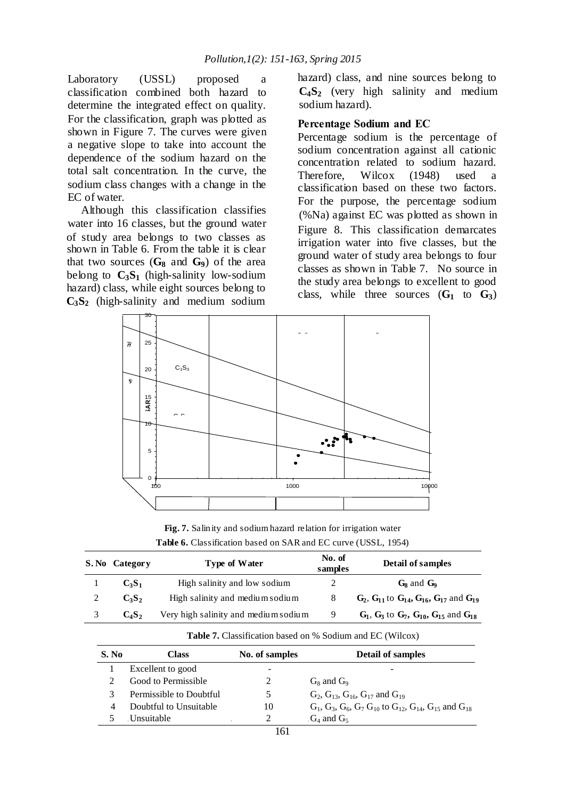Laboratory (USSL) proposed a classification combined both hazard to determine the integrated effect on quality. For the classification, graph was plotted as shown in Figure 7. The curves were given a negative slope to take into account the dependence of the sodium hazard on the total salt concentration. In the curve, the sodium class changes with a change in the EC of water.

Although this classification classifies water into 16 classes, but the ground water of study area belongs to two classes as shown in Table 6. From the table it is clear that two sources  $(G_8 \text{ and } G_9)$  of the area belong to  $C_3S_1$  (high-salinity low-sodium hazard) class, while eight sources belong to **C3S2** (high-salinity and medium sodium

hazard) class, and nine sources belong to **C4S2** (very high salinity and medium sodium hazard).

### **Percentage Sodium and EC**

Percentage sodium is the percentage of sodium concentration against all cationic concentration related to sodium hazard. Therefore, Wilcox (1948) used a classification based on these two factors. For the purpose, the percentage sodium (%Na) against EC was plotted as shown in Figure 8. This classification demarcates irrigation water into five classes, but the ground water of study area belongs to four classes as shown in Table 7. No source in the study area belongs to excellent to good class, while three sources (**G<sup>1</sup>** to **G3**)



**Fig. 7.** Salinity and sodium hazard relation for irrigation water **Table 6.** Classification based on SAR and EC curve (USSL, 1954)

|   | S. No Category | <b>Type of Water</b>                 | No. of<br>samples | Detail of samples                                               |
|---|----------------|--------------------------------------|-------------------|-----------------------------------------------------------------|
|   | $C_3S_1$       | High salinity and low sodium         |                   | $G_8$ and $G_9$                                                 |
|   | $C_3S_2$       | High salinity and medium sodium      | 8                 | $G_2$ , $G_{11}$ to $G_{14}$ , $G_{16}$ , $G_{17}$ and $G_{19}$ |
| 3 | $C_4S_2$       | Very high salinity and medium sodium | 9                 | $G_1$ , $G_3$ to $G_7$ , $G_{10}$ , $G_{15}$ and $G_{18}$       |

| S. No | Class                   | No. of samples | <b>Detail of samples</b>                                                   |
|-------|-------------------------|----------------|----------------------------------------------------------------------------|
|       | Excellent to good       | -              |                                                                            |
|       | Good to Permissible     |                | $G_8$ and $G_9$                                                            |
|       | Permissible to Doubtful |                | $G_2$ , $G_{13}$ , $G_{16}$ , $G_{17}$ and $G_{19}$                        |
|       | Doubtful to Unsuitable  | 10             | $G_1, G_3, G_6, G_7 G_{10}$ to $G_{12}$ , $G_{14}$ , $G_{15}$ and $G_{18}$ |
|       | Unsuitable              |                | $G_4$ and $G_5$                                                            |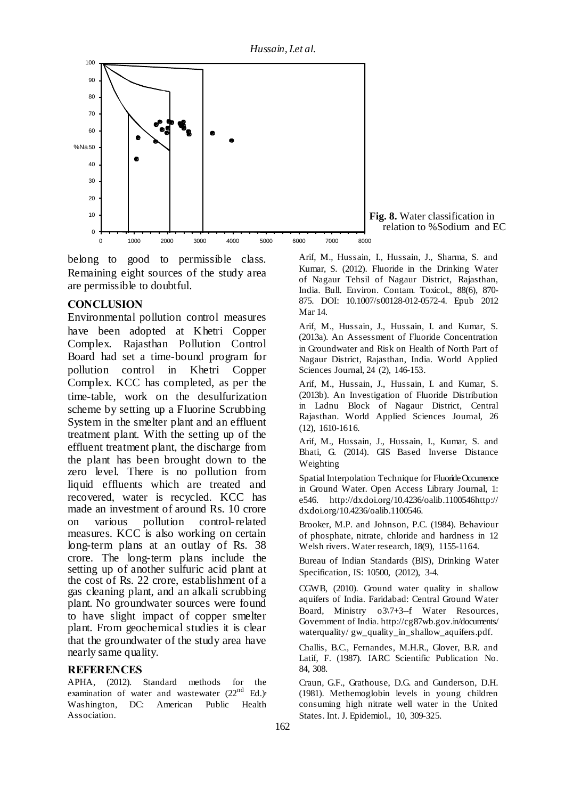*Hussain,I.et al.*



**Fig. 8.** Water classification in relation to %Sodium and EC

belong to good to permissible class. Remaining eight sources of the study area are permissible to doubtful.

# **CONCLUSION**

Environmental pollution control measures have been adopted at Khetri Copper Complex. Rajasthan Pollution Control Board had set a time-bound program for pollution control in Khetri Copper Complex. KCC has completed, as per the time-table, work on the desulfurization scheme by setting up a Fluorine Scrubbing System in the smelter plant and an effluent treatment plant. With the setting up of the effluent treatment plant, the discharge from the plant has been brought down to the zero level. There is no pollution from liquid effluents which are treated and recovered, water is recycled. KCC has made an investment of around Rs. 10 crore on various pollution control-related measures. KCC is also working on certain long-term plans at an outlay of Rs. 38 crore. The long-term plans include the setting up of another sulfuric acid plant at the cost of Rs. 22 crore, establishment of a gas cleaning plant, and an alkali scrubbing plant. No groundwater sources were found to have slight impact of copper smelter plant. From geochemical studies it is clear that the groundwater of the study area have nearly same quality. undus nade a maco an

# **REFERENCES**

APHA, (2012). Standard methods for the examination of water and wastewater  $(22<sup>nd</sup> Ed.)$ Washington, DC: American Public Health Association.

Arif, M., Hussain, I., Hussain, J., Sharma, S. and Kumar, S. (2012). Fluoride in the Drinking Water of Nagaur Tehsil of Nagaur District, Rajasthan, India. Bull. Environ. Contam. Toxicol., 88(6), 870- 875. DOI: 10.1007/s00128-012-0572-4. Epub 2012 Mar 14.

Arif, M., Hussain, J., Hussain, I. and Kumar, S. (2013a). An Assessment of Fluoride Concentration in Groundwater and Risk on Health of North Part of Nagaur District, Rajasthan, India. World Applied Sciences Journal, 24 (2), 146-153.

Arif, M., Hussain, J., Hussain, I. and Kumar, S. (2013b). An Investigation of Fluoride Distribution in Ladnu Block of Nagaur District, Central Rajasthan. World Applied Sciences Journal, 26 (12), 1610-1616.

Arif, M., Hussain, J., Hussain, I., Kumar, S. and Bhati, G. (2014). GIS Based Inverse Distance Weighting

Spatial Interpolation Technique for Fluoride Occurrence in Ground Water. Open Access Library Journal, 1: e546. http://dx.doi.org/10.4236/oalib.1100546http:// dx.doi.org/10.4236/oalib.1100546.

Brooker, M.P. and Johnson, P.C. (1984). Behaviour of phosphate, nitrate, chloride and hardness in 12 Welsh rivers. Water research, 18(9), 1155-1164.

Bureau of Indian Standards (BIS), Drinking Water Specification, IS: 10500, (2012), 3-4.

CGWB, (2010). Ground water quality in shallow aquifers of India. Faridabad: Central Ground Water Board, Ministry o3\7+3--f Water Resources, Government of India. http://cg87wb.gov.in/documents/ waterquality/ gw\_quality\_in\_shallow\_aquifers.pdf.

Challis, B.C., Fernandes, M.H.R., Glover, B.R. and Latif, F. (1987). IARC Scientific Publication No. 84, 308.

Craun, G.F., Grathouse, D.G. and Gunderson, D.H. (1981). Methemoglobin levels in young children consuming high nitrate well water in the United States. Int. J. Epidemiol., 10, 309-325.